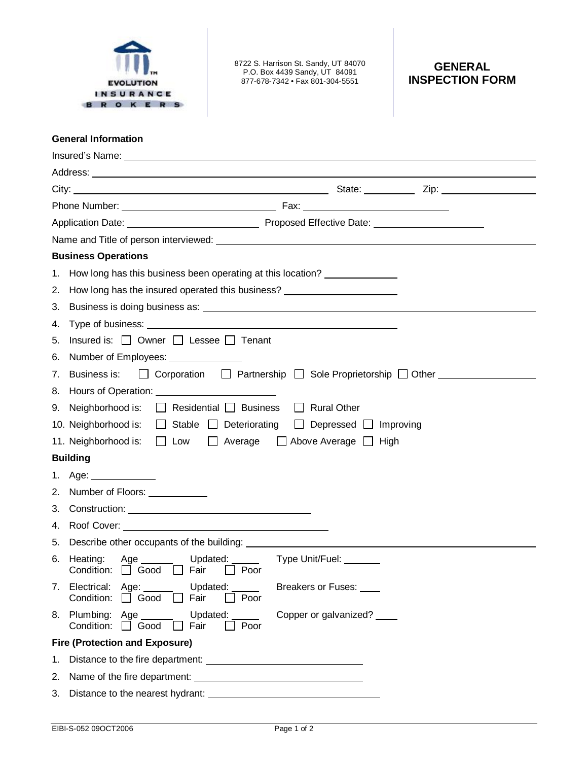

8722 S. Harrison St. Sandy, UT 84070 P.O. Box 4439 Sandy, UT 84091 877-678-7342 • Fax 801-304-5551

## **GENERAL INSPECTION FORM**

## **General Information**

| Insured's Name: <u>contact and a series of the series of the series of the series of the series of the series of the series of the series of the series of the series of the series of the series of the series of the series of</u> |                                                                                                                               |  |
|--------------------------------------------------------------------------------------------------------------------------------------------------------------------------------------------------------------------------------------|-------------------------------------------------------------------------------------------------------------------------------|--|
|                                                                                                                                                                                                                                      |                                                                                                                               |  |
|                                                                                                                                                                                                                                      |                                                                                                                               |  |
|                                                                                                                                                                                                                                      |                                                                                                                               |  |
|                                                                                                                                                                                                                                      |                                                                                                                               |  |
| Name and Title of person interviewed:<br>Solution of the state of person interviewed:                                                                                                                                                |                                                                                                                               |  |
| <b>Business Operations</b>                                                                                                                                                                                                           |                                                                                                                               |  |
| 1.                                                                                                                                                                                                                                   | How long has this business been operating at this location?                                                                   |  |
| 2.                                                                                                                                                                                                                                   | How long has the insured operated this business? _______________________________                                              |  |
| 3.                                                                                                                                                                                                                                   |                                                                                                                               |  |
| 4.                                                                                                                                                                                                                                   |                                                                                                                               |  |
| 5.                                                                                                                                                                                                                                   | Insured is: □ Owner □ Lessee □ Tenant                                                                                         |  |
| 6.                                                                                                                                                                                                                                   | Number of Employees: ______________                                                                                           |  |
| 7.                                                                                                                                                                                                                                   | Business is: $\Box$ Corporation $\Box$ Partnership $\Box$ Sole Proprietorship $\Box$ Other _________                          |  |
| 8.                                                                                                                                                                                                                                   |                                                                                                                               |  |
| 9.                                                                                                                                                                                                                                   | Neighborhood is: $\Box$ Residential $\Box$ Business<br><b>Rural Other</b><br>$\perp$                                          |  |
|                                                                                                                                                                                                                                      | 10. Neighborhood is:<br>$\Box$ Stable $\Box$ Deteriorating<br>Depressed Improving<br>$\perp$                                  |  |
|                                                                                                                                                                                                                                      | 11. Neighborhood is:<br>Low <sub>1</sub><br>$\Box$ Average<br>$\Box$ Above Average $\Box$ High                                |  |
| <b>Building</b>                                                                                                                                                                                                                      |                                                                                                                               |  |
| 1.                                                                                                                                                                                                                                   | Age: $\qquad \qquad$                                                                                                          |  |
| 2.                                                                                                                                                                                                                                   | Number of Floors: ___________                                                                                                 |  |
| 3.                                                                                                                                                                                                                                   |                                                                                                                               |  |
| 4.                                                                                                                                                                                                                                   |                                                                                                                               |  |
| 5.                                                                                                                                                                                                                                   |                                                                                                                               |  |
| 6.                                                                                                                                                                                                                                   | Updated: Type Unit/Fuel: ______<br>Age $\_\_\_\_\_\_\_\$<br>Heating:<br>Condition: $\Box$ Good<br>$\Box$ Fair<br>Poor         |  |
|                                                                                                                                                                                                                                      | 7. Electrical: Age:<br>Updated:<br>Breakers or Fuses: ____<br>Condition:<br>Fair<br>$\Box$ Good<br>Poor<br>$\perp$            |  |
|                                                                                                                                                                                                                                      | 8. Plumbing: Age ____<br>Updated: ______<br>Copper or galvanized? _____<br>Condition: <b>Q</b> Good<br>Fair<br>Poor<br>$\Box$ |  |
| <b>Fire (Protection and Exposure)</b>                                                                                                                                                                                                |                                                                                                                               |  |
| 1.                                                                                                                                                                                                                                   |                                                                                                                               |  |
| 2.                                                                                                                                                                                                                                   |                                                                                                                               |  |
| 3.                                                                                                                                                                                                                                   |                                                                                                                               |  |